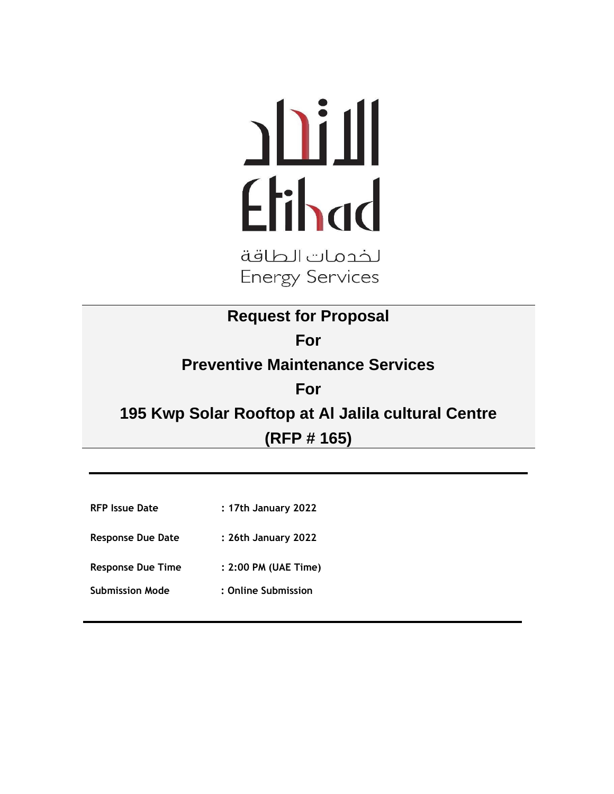# Etihad

لخدمات الطاقة **Energy Services** 

**Request for Proposal For Preventive Maintenance Services For 195 Kwp Solar Rooftop at Al Jalila cultural Centre (RFP # 165)**

- **RFP Issue Date : 17th January 2022**
- **Response Due Date : 26th January 2022**
- **Response Due Time : 2:00 PM (UAE Time)**
- **Submission Mode : Online Submission**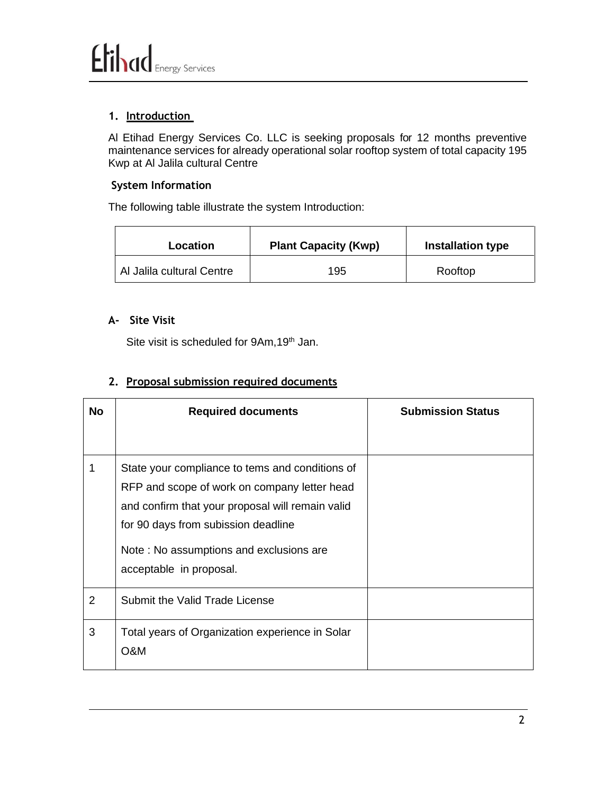#### **1. Introduction**

Al Etihad Energy Services Co. LLC is seeking proposals for 12 months preventive maintenance services for already operational solar rooftop system of total capacity 195 Kwp at Al Jalila cultural Centre

#### **System Information**

The following table illustrate the system Introduction:

| Location                  | <b>Plant Capacity (Kwp)</b> | <b>Installation type</b> |
|---------------------------|-----------------------------|--------------------------|
| Al Jalila cultural Centre | 195                         | Rooftop                  |

#### **A- Site Visit**

Site visit is scheduled for 9Am, 19<sup>th</sup> Jan.

#### **2. Proposal submission required documents**

| No             | <b>Required documents</b>                                                                                                                                                                                                                                        | <b>Submission Status</b> |
|----------------|------------------------------------------------------------------------------------------------------------------------------------------------------------------------------------------------------------------------------------------------------------------|--------------------------|
|                | State your compliance to tems and conditions of<br>RFP and scope of work on company letter head<br>and confirm that your proposal will remain valid<br>for 90 days from subission deadline<br>Note: No assumptions and exclusions are<br>acceptable in proposal. |                          |
| $\overline{2}$ | Submit the Valid Trade License                                                                                                                                                                                                                                   |                          |
| 3              | Total years of Organization experience in Solar<br>O&M                                                                                                                                                                                                           |                          |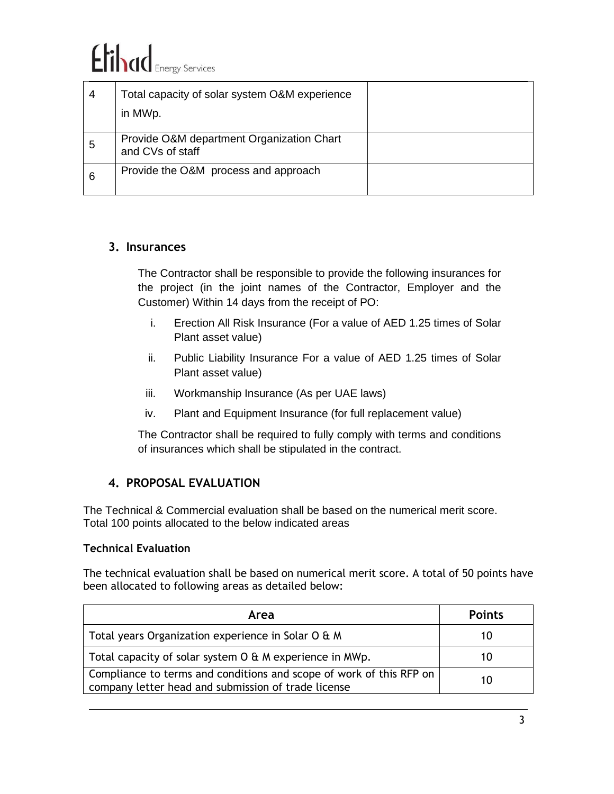# Elihad Energy Services

| 4 | Total capacity of solar system O&M experience<br>in MWp.      |  |
|---|---------------------------------------------------------------|--|
| 5 | Provide O&M department Organization Chart<br>and CVs of staff |  |
| 6 | Provide the O&M process and approach                          |  |

#### **3. Insurances**

The Contractor shall be responsible to provide the following insurances for the project (in the joint names of the Contractor, Employer and the Customer) Within 14 days from the receipt of PO:

- i. Erection All Risk Insurance (For a value of AED 1.25 times of Solar Plant asset value)
- ii. Public Liability Insurance For a value of AED 1.25 times of Solar Plant asset value)
- iii. Workmanship Insurance (As per UAE laws)
- iv. Plant and Equipment Insurance (for full replacement value)

The Contractor shall be required to fully comply with terms and conditions of insurances which shall be stipulated in the contract.

#### **4. PROPOSAL EVALUATION**

The Technical & Commercial evaluation shall be based on the numerical merit score. Total 100 points allocated to the below indicated areas

#### **Technical Evaluation**

The technical evaluation shall be based on numerical merit score. A total of 50 points have been allocated to following areas as detailed below:

| Area                                                                                                                       | <b>Points</b> |
|----------------------------------------------------------------------------------------------------------------------------|---------------|
| Total years Organization experience in Solar O & M                                                                         | 10            |
| Total capacity of solar system O & M experience in MWp.                                                                    | 10            |
| Compliance to terms and conditions and scope of work of this RFP on<br>company letter head and submission of trade license | 10            |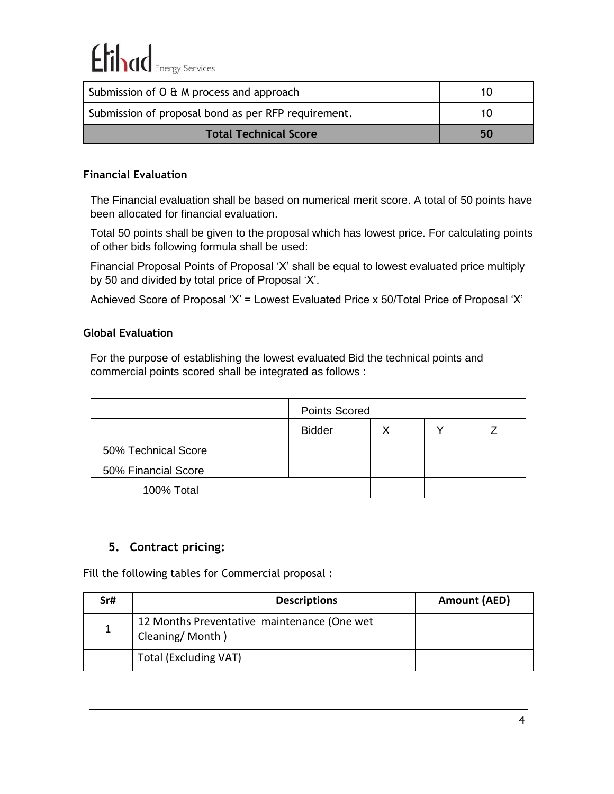| Submission of O & M process and approach            | 10 |
|-----------------------------------------------------|----|
| Submission of proposal bond as per RFP requirement. | 10 |
| <b>Total Technical Score</b>                        | 50 |

#### **Financial Evaluation**

The Financial evaluation shall be based on numerical merit score. A total of 50 points have been allocated for financial evaluation.

Total 50 points shall be given to the proposal which has lowest price. For calculating points of other bids following formula shall be used:

Financial Proposal Points of Proposal 'X' shall be equal to lowest evaluated price multiply by 50 and divided by total price of Proposal 'X'.

Achieved Score of Proposal 'X' = Lowest Evaluated Price x 50/Total Price of Proposal 'X'

#### **Global Evaluation**

For the purpose of establishing the lowest evaluated Bid the technical points and commercial points scored shall be integrated as follows :

|                     | <b>Points Scored</b> |  |  |  |
|---------------------|----------------------|--|--|--|
|                     | <b>Bidder</b>        |  |  |  |
| 50% Technical Score |                      |  |  |  |
| 50% Financial Score |                      |  |  |  |
| 100% Total          |                      |  |  |  |

### **5. Contract pricing:**

Fill the following tables for Commercial proposal :

| Sr# | <b>Descriptions</b>                                            | Amount (AED) |
|-----|----------------------------------------------------------------|--------------|
|     | 12 Months Preventative maintenance (One wet<br>Cleaning/Month) |              |
|     | <b>Total (Excluding VAT)</b>                                   |              |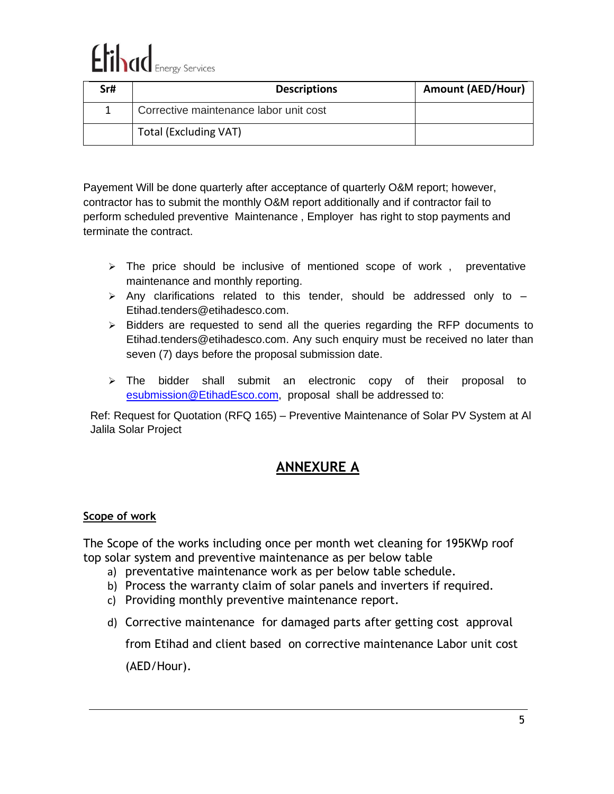# Elihad Energy Services

| Sr# | <b>Descriptions</b>                    | <b>Amount (AED/Hour)</b> |
|-----|----------------------------------------|--------------------------|
|     | Corrective maintenance labor unit cost |                          |
|     | <b>Total (Excluding VAT)</b>           |                          |

Payement Will be done quarterly after acceptance of quarterly O&M report; however, contractor has to submit the monthly O&M report additionally and if contractor fail to perform scheduled preventive Maintenance , Employer has right to stop payments and terminate the contract.

- $\triangleright$  The price should be inclusive of mentioned scope of work, preventative maintenance and monthly reporting.
- $\triangleright$  Any clarifications related to this tender, should be addressed only to  $-$ [Etihad.tenders@etihadesco.com.](mailto:Etihad.tenders@etihadesco.com)
- ➢ Bidders are requested to send all the queries regarding the RFP documents to [Etihad.tenders@etihadesco.com.](mailto:Etihad.tenders@etihadesco.com) Any such enquiry must be received no later than seven (7) days before the proposal submission date.
- ➢ The bidder shall submit an electronic copy of their proposal to [esubmission@EtihadEsco.com,](mailto:esubmission@EtihadEsco.com) proposal shall be addressed to:

Ref: Request for Quotation (RFQ 165) – Preventive Maintenance of Solar PV System at Al Jalila Solar Project

## **ANNEXURE A**

#### **Scope of work**

The Scope of the works including once per month wet cleaning for 195KWp roof top solar system and preventive maintenance as per below table

- a) preventative maintenance work as per below table schedule.
- b) Process the warranty claim of solar panels and inverters if required.
- c) Providing monthly preventive maintenance report.
- d) Corrective maintenance for damaged parts after getting cost approval

from Etihad and client based on corrective maintenance Labor unit cost (AED/Hour).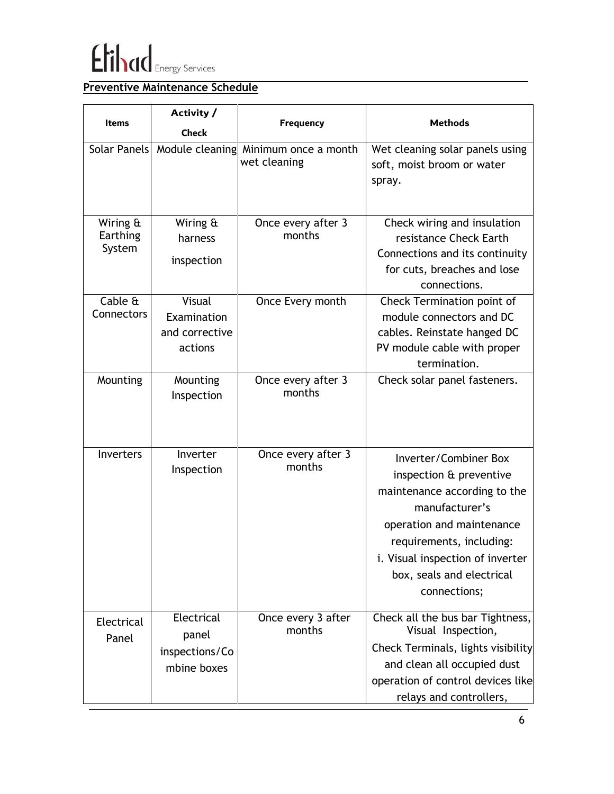

## **Preventive Maintenance Schedule**

|                                | Activity /                                           |                                      |                                                                                                                                                                                                                                              |
|--------------------------------|------------------------------------------------------|--------------------------------------|----------------------------------------------------------------------------------------------------------------------------------------------------------------------------------------------------------------------------------------------|
| <b>Items</b>                   | <b>Check</b>                                         | <b>Frequency</b>                     | <b>Methods</b>                                                                                                                                                                                                                               |
|                                | Solar Panels Module cleaning                         | Minimum once a month<br>wet cleaning | Wet cleaning solar panels using<br>soft, moist broom or water<br>spray.                                                                                                                                                                      |
| Wiring &<br>Earthing<br>System | Wiring &<br>harness<br>inspection                    | Once every after 3<br>months         | Check wiring and insulation<br>resistance Check Earth<br>Connections and its continuity<br>for cuts, breaches and lose<br>connections.                                                                                                       |
| Cable &<br>Connectors          | Visual<br>Examination<br>and corrective<br>actions   | Once Every month                     | Check Termination point of<br>module connectors and DC<br>cables. Reinstate hanged DC<br>PV module cable with proper<br>termination.                                                                                                         |
| Mounting                       | Mounting<br>Inspection                               | Once every after 3<br>months         | Check solar panel fasteners.                                                                                                                                                                                                                 |
| <b>Inverters</b>               | Inverter<br>Inspection                               | Once every after 3<br>months         | Inverter/Combiner Box<br>inspection & preventive<br>maintenance according to the<br>manufacturer's<br>operation and maintenance<br>requirements, including:<br>i. Visual inspection of inverter<br>box, seals and electrical<br>connections; |
| Electrical<br>Panel            | Electrical<br>panel<br>inspections/Co<br>mbine boxes | Once every 3 after<br>months         | Check all the bus bar Tightness,<br>Visual Inspection,<br>Check Terminals, lights visibility<br>and clean all occupied dust<br>operation of control devices like<br>relays and controllers,                                                  |